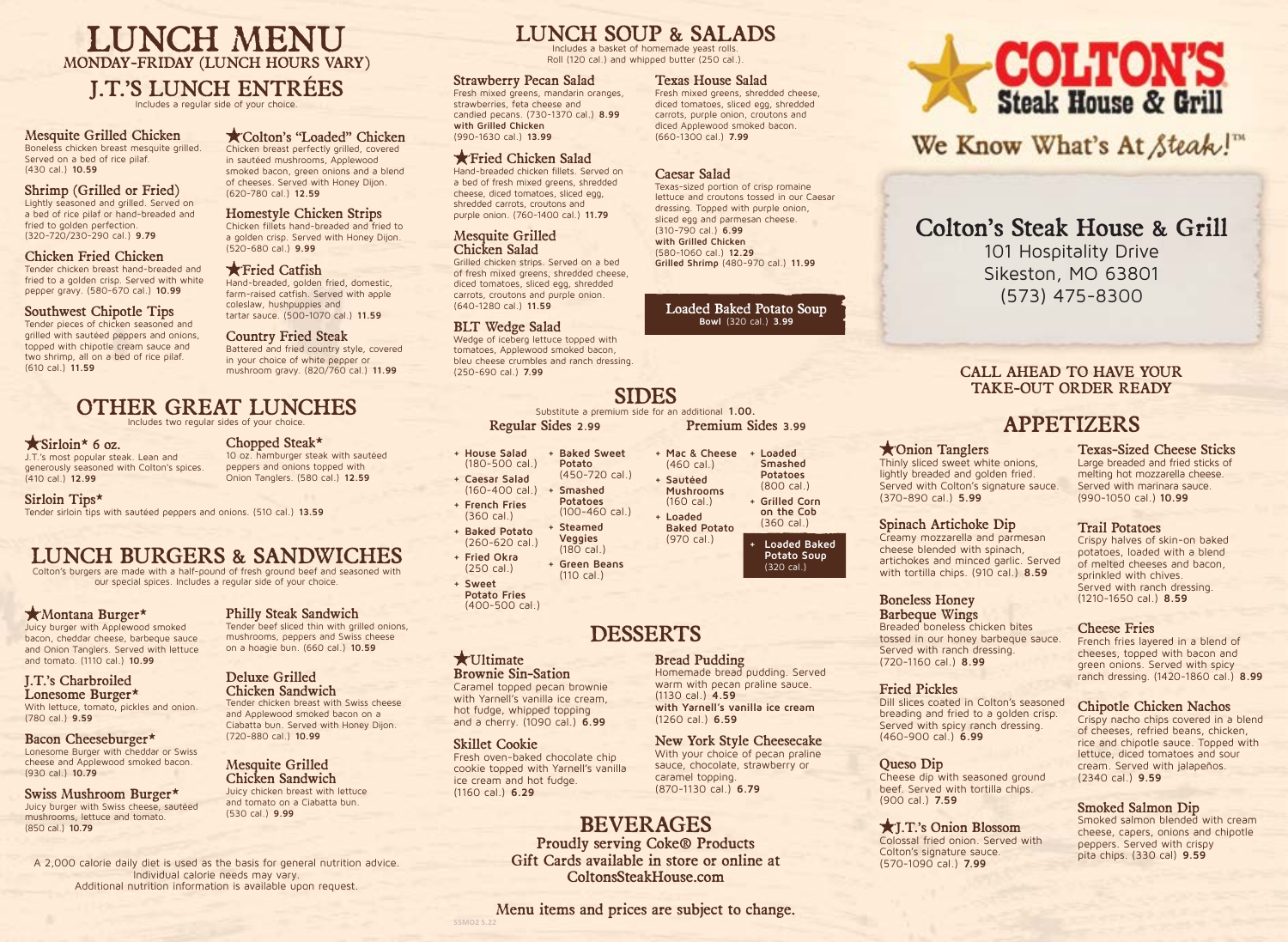LUNCH MENU MONDAY-FRIDAY (LUNCH HOURS VARY)

### J.T.'S LUNCH ENTRÉES

Includes a regular side of your choice.

Mesquite Grilled Chicken Boneless chicken breast mesquite grilled. Served on a bed of rice pilaf. (430 cal.) **10.59**

#### Shrimp (Grilled or Fried)

Lightly seasoned and grilled. Served on a bed of rice pilaf or hand-breaded and fried to golden perfection. (320-720/230-290 cal.) **9.79**

#### Chicken Fried Chicken

Tender chicken breast hand-breaded and fried to a golden crisp. Served with white pepper gravy. (580-670 cal.) **10.99**

### Southwest Chipotle Tips

Tender pieces of chicken seasoned and grilled with sautéed peppers and onions, topped with chipotle cream sauce and two shrimp, all on a bed of rice pilaf. (610 cal.) **11.59**

#### Colton's "Loaded" Chicken Chicken breast perfectly grilled, covered in sautéed mushrooms, Applewood

smoked bacon, green onions and a blend of cheeses. Served with Honey Dijon. (620-780 cal.) **12.59**

#### Homestyle Chicken Strips Chicken fillets hand-breaded and fried to a golden crisp. Served with Honey Dijon. (520-680 cal.) **9.99**

**K** Fried Catfish Hand-breaded, golden fried, domestic, farm-raised catfish. Served with apple coleslaw, hushpuppies and tartar sauce. (500-1070 cal.) **11.59**

### Country Fried Steak

Battered and fried country style, covered in your choice of white pepper or mushroom gravy. (820/760 cal.) **11.99**

### OTHER GREAT LUNCHES

Includes two regular sides of your choice.

### $\star$  Sirloin\* 6 oz.

J.T.'s most popular steak. Lean and generously seasoned with Colton's spices. (410 cal.) **12.99**

Chopped Steak\* 10 oz. hamburger steak with sautéed

peppers and onions topped with

Onion Tanglers. (580 cal.) **12.59**

Philly Steak Sandwich Tender beef sliced thin with grilled onions, mushrooms, peppers and Swiss cheese on a hoagie bun. (660 cal.) **10.59**

Tender chicken breast with Swiss cheese and Applewood smoked bacon on a Ciabatta bun. Served with Honey Dijon.

Deluxe Grilled Chicken Sandwich

(720-880 cal.) **10.99**

Mesquite Grilled Chicken Sandwich Juicy chicken breast with lettuce and tomato on a Ciabatta bun.

(530 cal.) **9.99**

Sirloin Tips\* Tender sirloin tips with sautéed peppers and onions. (510 cal.) **13.59**

### LUNCH BURGERS & SANDWICHES

Colton's burgers are made with a half-pound of fresh ground beef and seasoned with our special spices. Includes a regular side of your choice.

### Montana Burger\*

Juicy burger with Applewood smoked bacon, cheddar cheese, barbeque sauce and Onion Tanglers. Served with lettuce and tomato. (1110 cal.) **10.99**

### J.T.'s Charbroiled Lonesome Burger\*

With lettuce, tomato, pickles and onion. (780 cal.) **9.59**

Bacon Cheeseburger\* Lonesome Burger with cheddar or Swiss cheese and Applewood smoked bacon. (930 cal.) **10.79**

#### Swiss Mushroom Burger\* Juicy burger with Swiss cheese, sautéed mushrooms, lettuce and tomato. (850 cal.) **10.79**

A 2,000 calorie daily diet is used as the basis for general nutrition advice. Individual calorie needs may vary. Additional nutrition information is available upon request.

## LUNCH SOUP & SALADS

Includes a basket of homemade yeast rolls. Roll (120 cal.) and whipped butter (250 cal.)

> diced tomatoes, sliced egg, shredded carrots, purple onion, croutons and diced Applewood smoked bacon. (660-1300 cal.) **7.99**

Texas-sized portion of crisp romaine lettuce and croutons tossed in our Caesar dressing. Topped with purple onion, sliced egg and parmesan cheese.

**Grilled Shrimp** (480-970 cal.) **11.99**

**+ Mac & Cheese + Loaded** 

**Smashed Potatoes** (800 cal.) **+ Grilled Corn on the Cob**  (360 cal.) **+ Loaded Baked Potato Soup**  (320 cal.)

(460 cal.) **+ Sautéed Mushrooms** (160 cal.) **+ Loaded**

Bread Pudding

(1130 cal.) **4.59**

(1260 cal.) **6.59** 

caramel topping. (870-1130 cal.) **6.79**

Homemade bread pudding. Served warm with pecan praline sauce.

**with Yarnell's vanilla ice cream**

New York Style Cheesecake With your choice of pecan praline sauce, chocolate, strawberry or

Loaded Baked Potato Soup **Bowl** (320 cal.) **3.99**

Caesar Salad

(310-790 cal.) **6.99 with Grilled Chicken**  (580-1060 cal.) **12.29**

#### Strawberry Pecan Salad Texas House Salad Fresh mixed greens, shredded cheese,

Fresh mixed greens, mandarin oranges, strawberries, feta cheese and candied pecans. (730-1370 cal.) **8.99 with Grilled Chicken** (990-1630 cal.) **13.99**

### Fried Chicken Salad

Hand-breaded chicken fillets. Served on a bed of fresh mixed greens, shredded cheese, diced tomatoes, sliced egg, shredded carrots, croutons and purple onion. (760-1400 cal.) **11.79**

### Mesquite Grilled Chicken Salad

Grilled chicken strips. Served on a bed of fresh mixed greens, shredded cheese, diced tomatoes, sliced egg, shredded carrots, croutons and purple onion. (640-1280 cal.) **11.59**

### BLT Wedge Salad

Wedge of iceberg lettuce topped with tomatoes, Applewood smoked bacon, bleu cheese crumbles and ranch dressing. (250-690 cal.) **7.99**

### SIDES

Substitute a premium side for an additional **1.00.** Regular Sides **2.99** Premium Sides **3.99**

- **+ House Salad**  (180-500 cal.) **+ Caesar Salad**  (160-400 cal.) **+ Baked Sweet Potato**  (450-720 cal.) **+ Smashed Potatoes**
- **+ French Fries**  (360 cal.) **+ Baked Potato**  (100-460 cal.) **+ Steamed**
- (260-620 cal.) **+ Fried Okra**  (250 cal.)

**+ Sweet Potato Fries**  (400-500 cal.)

### DESSERTS

### **\*** Ultimate

Brownie Sin-Sation Caramel topped pecan brownie with Yarnell's vanilla ice cream,

hot fudge, whipped topping and a cherry. (1090 cal.) **6.99**

### Skillet Cookie

Fresh oven-baked chocolate chip cookie topped with Yarnell's vanilla ice cream and hot fudge. (1160 cal.) **6.29**

## BEVERAGES

Proudly serving Coke® Products Gift Cards available in store or online at ColtonsSteakHouse.com

Menu items and prices are subject to change. **SSMO2 5.22**



We Know What's At Steak!"

### Colton's Steak House & Grill

101 Hospitality Drive Sikeston, MO 63801 (573) 475-8300

### CALL AHEAD TO HAVE YOUR TAKE-OUT ORDER READY

### APPETIZERS

### Onion Tanglers

Thinly sliced sweet white onions, lightly breaded and golden fried. Served with Colton's signature sauce. (370-890 cal.) **5.99**

### Spinach Artichoke Dip

Creamy mozzarella and parmesan cheese blended with spinach, artichokes and minced garlic. Served with tortilla chips. (910 cal.) **8.59**

### Boneless Honey

Barbeque Wings Breaded boneless chicken bites tossed in our honey barbeque sauce. Served with ranch dressing. (720-1160 cal.) **8.99**

### Fried Pickles

Dill slices coated in Colton's seasoned breading and fried to a golden crisp. Served with spicy ranch dressing. (460-900 cal.) **6.99**

### Queso Dip

Cheese dip with seasoned ground beef. Served with tortilla chips. (900 cal.) **7.59**

J.T.'s Onion Blossom Colossal fried onion. Served with Colton's signature sauce. (570-1090 cal.) **7.99**

#### Texas-Sized Cheese Sticks Large breaded and fried sticks of melting hot mozzarella cheese. Served with marinara sauce. (990-1050 cal.) **10.99**

### Trail Potatoes

Crispy halves of skin-on baked potatoes, loaded with a blend of melted cheeses and bacon, sprinkled with chives. Served with ranch dressing. (1210-1650 cal.) **8.59**

### Cheese Fries

French fries layered in a blend of cheeses, topped with bacon and green onions. Served with spicy ranch dressing. (1420-1860 cal.) **8.99**

### Chipotle Chicken Nachos

Crispy nacho chips covered in a blend of cheeses, refried beans, chicken, rice and chipotle sauce. Topped with lettuce, diced tomatoes and sour cream. Served with jalapeños. (2340 cal.) **9.59**

### Smoked Salmon Dip

Smoked salmon blended with cream cheese, capers, onions and chipotle peppers. Served with crispy pita chips. (330 cal) **9.59**

**Veggies**  (180 cal.) **+ Green Beans**  (110 cal.) **Baked Potato** (970 cal.)